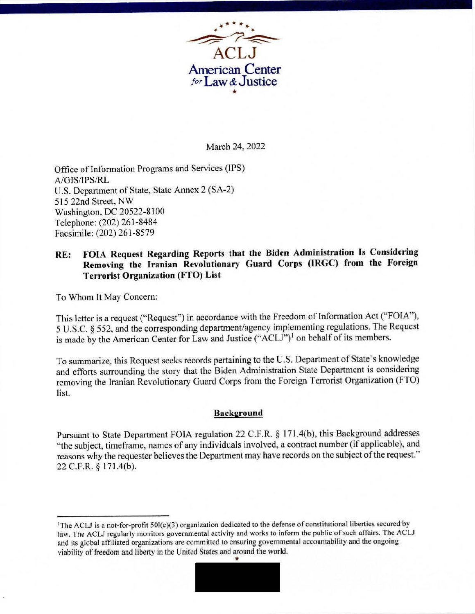

March 24, 2022

Office of Information Programs and Services (IPS) A/GIS/IPS/RL U.S. Department of State, State Annex 2 (SA-2) 515 22nd Street, NW Washington, DC 20522-8100 Telephone: (202) 261-8484 Facsimile: (202) 261-8579

# **RE: FOIA Request Regarding Reports that the Biden Administration Is Considering Removing the Iranian Revolutionary Guard Corps (IRGC) from the Foreign Terrorist Organization (FTO) List**

To Whom It May Concern:

This letter is a request ("Request") in accordance with the Freedom of Infonnation Act ("FOIA''), 5 U.S.C. § 552, and the corresponding department/agency implementing regulations. The Request is made by the American Center for Law and Justice ("ACLJ")<sup>1</sup> on behalf of its members.

To summarize, this Request seeks records pertaining to the U.S. Department of State's knowledge and efforts surrounding the story that the Biden Administration State Department is considering removing the Iranian Revolutionary Guard Corps from the Foreign Terrorist Organization (FTO) list.

#### **Background**

Pursuant to State Department FOIA regulation 22 C.F.R. § 171.4(b), this Background addresses "the subject, time frame, names of any individuals involved, a contract number (if applicable), and reasons why the requester believes the Department may have records on the subject of the request." 22 C.F.R. § 171.4(b).

<sup>&#</sup>x27;The ACLJ is a aot-for-profit 501(c)(3) organization dedicated to the defense of constitutional liberties secured by law. The ACLJ regularly monitors governmental activity and works to inform the public of such affairs. The ACLJ and its global affiliated organizations are committed to ensuring governmental accountability and the ongoing viability of freedom and liberty in the United States and around the world.

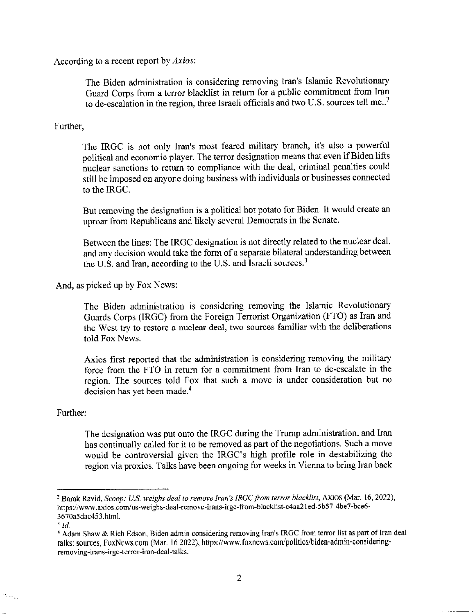According to a recent report by *Axios:* 

The Biden administration is considering removing Iran's Islamic Revolutionary Guard Corps from a terror blacklist in return for a public commitment from Iran to de-escalation in the region, three Israeli officials and two U.S. sources tell me.. $<sup>2</sup>$ </sup>

### Further,

The IRGC is not only Iran's most feared military branch, it's also a powerful political and economic player. The terror designation means that even if Biden lifts nuclear sanctions to return to compliance with the deal, criminal penalties could still be imposed on anyone doing business with individuals or businesses connected to the IRGC.

But removing the designation is a political hot potato for Biden. It would create an uproar from Republicans and likely several Democrats in the Senate.

Between the lines: The IRGC designation is not directly related to the nuclear deal, and any decision would take the form of a separate bilateral understanding between the U.S. and Iran, according to the U.S. and Israeli sources.<sup>3</sup>

And, as picked up by Fox News:

The Biden administration is considering removing the Islamic Revolutionary Guards Corps (IRGC) from the Foreign Terrorist Organization (FTO) as Iran and the West try to restore a nuclear deal, two sources familiar with the deliberations told Fox News.

Axios first reported that the administration is considering removing the military force from the FTO in return for a commitment from Iran to de-escalate in the region. The sources told Fox that such a move is under consideration but no decision has yet been made.<sup>4</sup>

#### Further:

The designation was put onto the IRGC during the Trump administration, and Iran has continually called for it to be removed as part of the negotiations. Such a move would be controversial given the IRGC's high profile role in destabilizing the region via proxies. Talks have been ongoing for weeks in Vienna to bring Iran back

**Sale** 

<sup>2</sup> Barak Ravid, *Scoop: U.S. weighs deal to remove Iran's JRGC from terror blacklist,* AXIOS (Mar. 16, 2022), https://www.axios.com/us-weighs-deal-remove-irans-irgc-from-blacklist-c4aa21ed-5b57-4be7-bce6-3670a5dac453 .html. 3 *Id.* 

<sup>&</sup>lt;sup>4</sup> Adam Shaw & Rich Edson, Biden admin considering removing Iran's IRGC from terror list as part of Iran deal talks: sources. FoxNews.com (Mar. 16 2022), https://www.foxnews.com/politics/biden-admin-considcring**removing-irans-irgc-terror-iran-deal-talks.**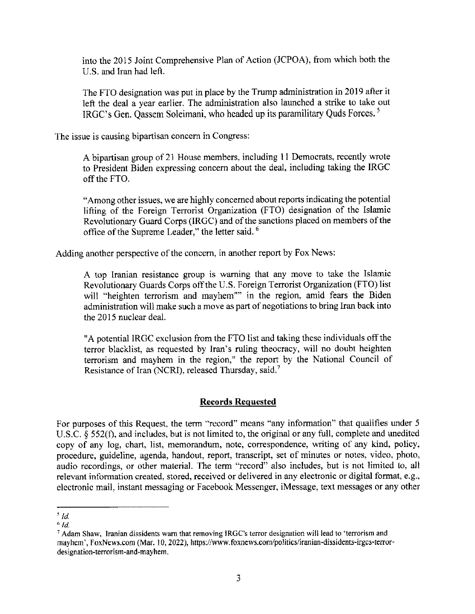into the 2015 Joint Comprehensive Plan of Action (JCPOA), from which both the U.S. and Iran had left.

The FTO designation was put in place by the Trump administration in 2019 after it left the deal a year earlier. The administration also launched a strike to take out IRGC's Gen. Qassem Soleimani, who headed up its paramilitary Quds Forces. 5

The issue is causing bipartisan concern in Congress:

A bipartisan group of 21 House members, including 11 Democrats, recently wrote to President Biden expressing concern about the deal, including taking the IRGC off the FTO.

"Among other issues, we are highly concerned about reports indicating the potential lifting of the Foreign Terrorist Organization (FTO) designation of the Islamic Revolutionary Guard Corps (IRGC) and of the sanctions placed on members of the office of the Supreme Leader," the letter said. <sup>6</sup>

Adding another perspective of the concern, in another report by Fox News:

A top Iranian resistance group is warning that any move to take the Islamic Revolutionary Guards Corps off the U.S. Foreign Terrorist Organization (FTO) list will "heighten terrorism and mayhem"" in the region, amid fears the Biden administration will make such a move as part of negotiations to bring Iran back into the 2015 nuclear deal.

"A potential IRGC exclusion from the FTO list and taking these individuals off the terror blacklist, as requested by Iran's ruling theocracy, will no doubt heighten terrorism and mayhem in the region," the report by the National Council of Resistance of Iran (NCRI), released Thursday, said.<sup>7</sup>

#### **Records Requested**

For purposes of this Request, the term "record" means "any information" that qualifies under 5 U.S.C. § 552(f), and includes, but is not limited to, the original or any full, complete and unedited copy of any log, chart, list, memorandum, note, correspondence, writing of any kind, policy, procedure, guideline, agenda, handout, report, transcript, set of minutes or notes, video, photo, audio recordings, or other material. The term "record" also includes, but is not limited to, all relevant information created, stored, received or delivered in any electronic or digital format, e.g., electronic mail, instant messaging or Facebook Messenger, iMessage, text messages or any other

*<sup>&#</sup>x27;Id.* 

*<sup>&#</sup>x27;Id.* 

<sup>7</sup> Adam Shaw, Iranian dissidents warn that removing IRGC's terror designation will lead to 'terrorism and mayhem', foxNews.com (Mar. IO, 2022), https://www.foxnews.com/politics/iranian-dissidents-irgcs-terrordesignation-terrorism-and-mayhem.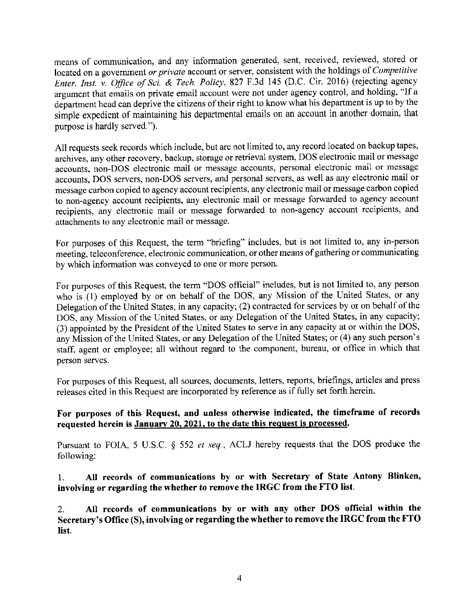means of communication, and any information generated, sent, received, reviewed, stored or located on a government *or private* account or server, consistent with the holdings of *Competitive Enter. Inst. v. Office of Sci. & Tech. Policy, 827 F.3d 145 (D.C. Cir. 2016) (rejecting agency* argument that emails on private email account were not under agency control, and holding, "If a department head can deprive the citizens of their right to know what his department is up to by the simple expedient of maintaining his departmental emails on an account in another domain, that purpose is hardly served.").

All requests seek records which include, but are not limited to, any record located on backup tapes, archives, any other recovery, backup, storage or retrieval system, DOS electronic mail or message accounts, non-DOS electronic mail or message accounts, personal electronic mail or message accounts, DOS servers, non-DOS servers, and personal servers, as well as any electronic mail or message carbon copied to agency account recipients, any electronic mail or message carbon copied to non-agency account recipients, any electronic mail or message forwarded to agency account recipients, any electronic mail or message forwarded to non-agency account recipients, and attachments to any electronic mail or message.

For purposes of this Request, the term "briefing" includes, but is not limited to, any in-person meeting, teleconference, electronic communication, or other means of gathering or communicating by which information was conveyed to one or more person.

For purposes of this Request, the term "DOS official" includes, but is not limited to, any person who is (1) employed by or on behalf of the DOS, any Mission of the United States, or any Delegation of the United States, in any capacity; (2) contracted for services by or on behalf of the DOS, any Mission of the United States, or any Delegation of the United States, in any capacity; (3) appointed by the President of the United States to serve in any capacity at or within the DOS, any Mission of the United States, or any Delegation of the United States; or (4) any such person's staff, agent or employee; all without regard to the component, bureau, or office in which that person serves.

For purposes of this Request, all sources, documents, letters, reports, briefings, articles and press releases cited in this Request are incorporated by reference as if fully set forth herein.

## **For purposes of this Request, and unless otherwise indicated, the timeframe of records requested herein is January 20, 2021, to the date this request is processed.**

Pursuant to FOIA, 5 U.S.C. § 552 *et seq.,* ACLJ hereby requests that the DOS produce the following:

I. **All records of communications by or with Secretary of State Antony Blinken, involving or regarding the whether to remove the IRGC from the FTO list.** 

2. **All records of communications by or with any other DOS official within the Secretary's Office** (S), **involving or regarding the whether to remove the IRGC from the FTO list.**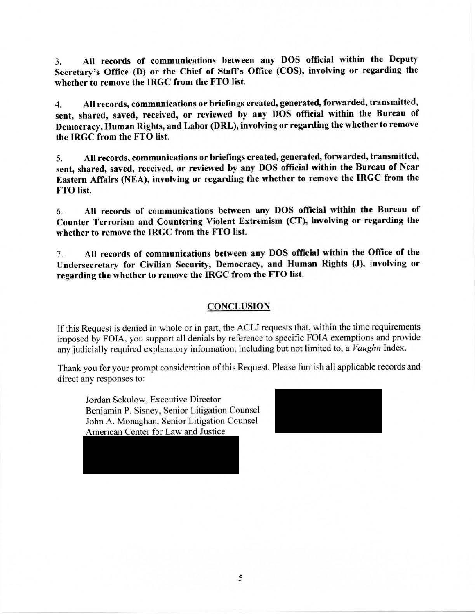3. All records of communications between any DOS official within the Deputy Secretary's Office (D) or the Chief of Staff's Office (COS), involving or regarding the whether to remove the IRGC from the FTO list.

4. AH records, communications or briefings created, generated, forwarded, transmitted, sent, shared, saved, received, or reviewed by any DOS official within the Bureau of Democracy, Human Rights, and Labor (DRL), involving or regarding the whether to remove the IRGC from the FTO list.

5. All records, communications or briefings created, generated, forwarded, transmitted, sent, shared, saved, received, or reviewed by any DOS official within the Bureau of Near Eastern Affairs (NEA), involving or regarding the whether to remove the IRGC from the FTO list.

6. **AU records of communications between any DOS official within the Bureau of Counter Terrorism and Countering Violent Extremism (CT), involving or regarding the whether to remove the IRGC from the FTO list.** 

7. **All records of communications between any DOS official within the Office of the Undersecretary for Civilian Security, Democracy, and Human Rights (J), involving or regarding the whether to remove the IRGC from the FTO list.** 

#### **CONCLUSION**

If this Request is denied in whole or in part, the ACLJ requests that, within the time requirements imposed by FOIA, you support all denials by reference to specific FOIA exemptions and provide any judicially required explanatory information, including but not limited to, a *Vaughn* Index.

Thank you for your prompt consideration of this Request. Please furnish all applicable records and direct any responses to:

**Jordan** Sekulow, Executive Director Benjamin P. Sisney, Senior Litigation Counsel John A. Monaghan, Senior Litigation Counsel<br>American Center for Law and Justice